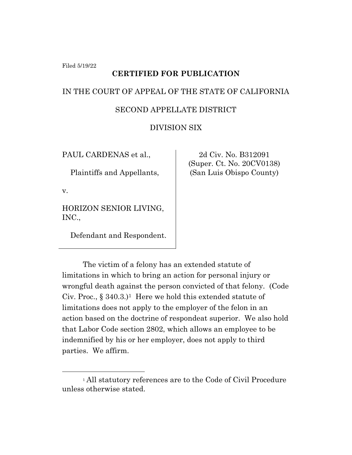Filed 5/19/22

## **CERTIFIED FOR PUBLICATION**

### IN THE COURT OF APPEAL OF THE STATE OF CALIFORNIA

### SECOND APPELLATE DISTRICT

## DIVISION SIX

PAUL CARDENAS et al.,

Plaintiffs and Appellants,

v.

HORIZON SENIOR LIVING, INC.,

Defendant and Respondent.

2d Civ. No. B312091 (Super. Ct. No. 20CV0138) (San Luis Obispo County)

The victim of a felony has an extended statute of limitations in which to bring an action for personal injury or wrongful death against the person convicted of that felony. (Code Civ. Proc.,  $\S 340.3$ )<sup>1</sup> Here we hold this extended statute of limitations does not apply to the employer of the felon in an action based on the doctrine of respondeat superior. We also hold that Labor Code section 2802, which allows an employee to be indemnified by his or her employer, does not apply to third parties. We affirm.

<sup>1</sup> All statutory references are to the Code of Civil Procedure unless otherwise stated.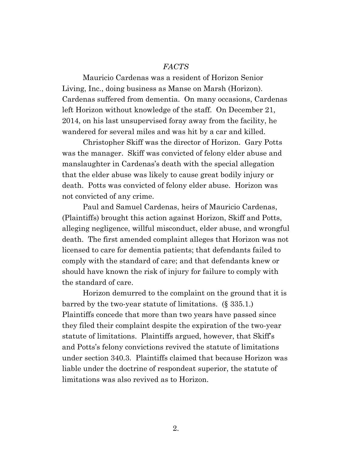#### *FACTS*

Mauricio Cardenas was a resident of Horizon Senior Living, Inc., doing business as Manse on Marsh (Horizon). Cardenas suffered from dementia. On many occasions, Cardenas left Horizon without knowledge of the staff. On December 21, 2014, on his last unsupervised foray away from the facility, he wandered for several miles and was hit by a car and killed.

Christopher Skiff was the director of Horizon. Gary Potts was the manager. Skiff was convicted of felony elder abuse and manslaughter in Cardenas's death with the special allegation that the elder abuse was likely to cause great bodily injury or death. Potts was convicted of felony elder abuse. Horizon was not convicted of any crime.

Paul and Samuel Cardenas, heirs of Mauricio Cardenas, (Plaintiffs) brought this action against Horizon, Skiff and Potts, alleging negligence, willful misconduct, elder abuse, and wrongful death. The first amended complaint alleges that Horizon was not licensed to care for dementia patients; that defendants failed to comply with the standard of care; and that defendants knew or should have known the risk of injury for failure to comply with the standard of care.

Horizon demurred to the complaint on the ground that it is barred by the two-year statute of limitations. (§ 335.1.) Plaintiffs concede that more than two years have passed since they filed their complaint despite the expiration of the two-year statute of limitations. Plaintiffs argued, however, that Skiff's and Potts's felony convictions revived the statute of limitations under section 340.3. Plaintiffs claimed that because Horizon was liable under the doctrine of respondeat superior, the statute of limitations was also revived as to Horizon.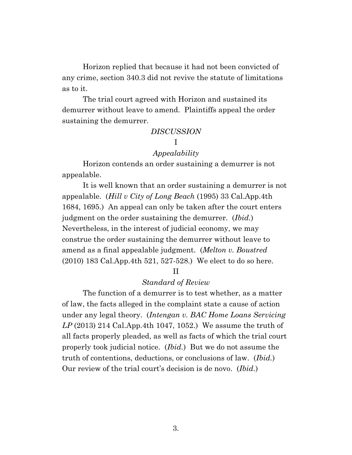Horizon replied that because it had not been convicted of any crime, section 340.3 did not revive the statute of limitations as to it.

The trial court agreed with Horizon and sustained its demurrer without leave to amend. Plaintiffs appeal the order sustaining the demurrer.

# *DISCUSSION*

## I

#### *Appealability*

Horizon contends an order sustaining a demurrer is not appealable.

It is well known that an order sustaining a demurrer is not appealable. (*Hill v City of Long Beach* (1995) 33 Cal.App.4th 1684, 1695.) An appeal can only be taken after the court enters judgment on the order sustaining the demurrer. (*Ibid.*) Nevertheless, in the interest of judicial economy, we may construe the order sustaining the demurrer without leave to amend as a final appealable judgment. (*Melton v. Boustred* (2010) 183 Cal.App.4th 521, 527-528.) We elect to do so here.

#### II

### *Standard of Review*

The function of a demurrer is to test whether, as a matter of law, the facts alleged in the complaint state a cause of action under any legal theory. (*Intengan v. BAC Home Loans Servicing LP* (2013) 214 Cal.App.4th 1047, 1052.) We assume the truth of all facts properly pleaded, as well as facts of which the trial court properly took judicial notice. (*Ibid.*) But we do not assume the truth of contentions, deductions, or conclusions of law. (*Ibid.*) Our review of the trial court's decision is de novo. (*Ibid.*)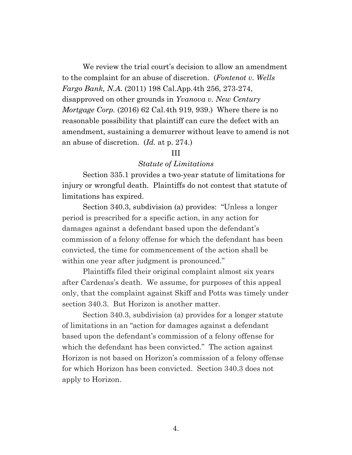We review the trial court's decision to allow an amendment to the complaint for an abuse of discretion. (*Fontenot v. Wells Fargo Bank, N.A.* (2011) 198 Cal.App.4th 256, 273-274, disapproved on other grounds in *Yvanova v. New Century Mortgage Corp.* (2016) 62 Cal.4th 919, 939.) Where there is no reasonable possibility that plaintiff can cure the defect with an amendment, sustaining a demurrer without leave to amend is not an abuse of discretion. (*Id.* at p. 274.)

## III

### *Statute of Limitations*

Section 335.1 provides a two-year statute of limitations for injury or wrongful death. Plaintiffs do not contest that statute of limitations has expired.

Section 340.3, subdivision (a) provides: "Unless a longer period is prescribed for a specific action, in any action for damages against a defendant based upon the defendant's commission of a felony offense for which the defendant has been convicted, the time for commencement of the action shall be within one year after judgment is pronounced."

Plaintiffs filed their original complaint almost six years after Cardenas's death. We assume, for purposes of this appeal only, that the complaint against Skiff and Potts was timely under section 340.3. But Horizon is another matter.

Section 340.3, subdivision (a) provides for a longer statute of limitations in an "action for damages against a defendant based upon the defendant's commission of a felony offense for which the defendant has been convicted." The action against Horizon is not based on Horizon's commission of a felony offense for which Horizon has been convicted. Section 340.3 does not apply to Horizon.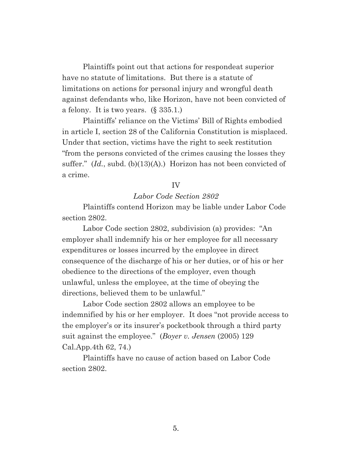Plaintiffs point out that actions for respondeat superior have no statute of limitations. But there is a statute of limitations on actions for personal injury and wrongful death against defendants who, like Horizon, have not been convicted of a felony. It is two years. (§ 335.1.)

Plaintiffs' reliance on the Victims' Bill of Rights embodied in article I, section 28 of the California Constitution is misplaced. Under that section, victims have the right to seek restitution "from the persons convicted of the crimes causing the losses they suffer." (*Id.*, subd. (b)(13)(A).) Horizon has not been convicted of a crime.

#### IV

#### *Labor Code Section 2802*

Plaintiffs contend Horizon may be liable under Labor Code section 2802.

Labor Code section 2802, subdivision (a) provides: "An employer shall indemnify his or her employee for all necessary expenditures or losses incurred by the employee in direct consequence of the discharge of his or her duties, or of his or her obedience to the directions of the employer, even though unlawful, unless the employee, at the time of obeying the directions, believed them to be unlawful."

Labor Code section 2802 allows an employee to be indemnified by his or her employer. It does "not provide access to the employer's or its insurer's pocketbook through a third party suit against the employee." (*Boyer v. Jensen* (2005) 129 Cal.App.4th 62, 74.)

Plaintiffs have no cause of action based on Labor Code section 2802.

5.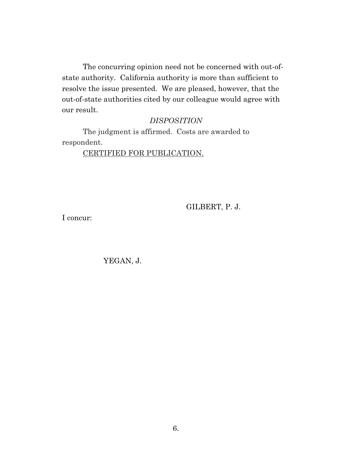The concurring opinion need not be concerned with out-ofstate authority. California authority is more than sufficient to resolve the issue presented. We are pleased, however, that the out-of-state authorities cited by our colleague would agree with our result.

# *DISPOSITION*

The judgment is affirmed. Costs are awarded to respondent.

# CERTIFIED FOR PUBLICATION.

GILBERT, P. J.

I concur:

# YEGAN, J.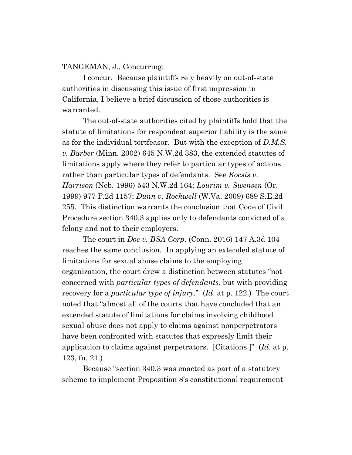### TANGEMAN, J., Concurring:

I concur. Because plaintiffs rely heavily on out-of-state authorities in discussing this issue of first impression in California, I believe a brief discussion of those authorities is warranted.

The out-of-state authorities cited by plaintiffs hold that the statute of limitations for respondeat superior liability is the same as for the individual tortfeasor. But with the exception of *D.M.S. v. Barber* (Minn. 2002) 645 N.W.2d 383, the extended statutes of limitations apply where they refer to particular types of actions rather than particular types of defendants. See *Kocsis v. Harrison* (Neb. 1996) 543 N.W.2d 164; *Lourim v. Swensen* (Or. 1999) 977 P.2d 1157; *Dunn v. Rockwell* (W.Va. 2009) 689 S.E.2d 255. This distinction warrants the conclusion that Code of Civil Procedure section 340.3 applies only to defendants convicted of a felony and not to their employers.

The court in *Doe v. BSA Corp.* (Conn. 2016) 147 A.3d 104 reaches the same conclusion. In applying an extended statute of limitations for sexual abuse claims to the employing organization, the court drew a distinction between statutes "not concerned with *particular types of defendants*, but with providing recovery for a *particular type of injury*." (*Id*. at p. 122.) The court noted that "almost all of the courts that have concluded that an extended statute of limitations for claims involving childhood sexual abuse does not apply to claims against nonperpetrators have been confronted with statutes that expressly limit their application to claims against perpetrators. [Citations.]" (*Id*. at p. 123, fn. 21.)

Because "section 340.3 was enacted as part of a statutory scheme to implement Proposition 8's constitutional requirement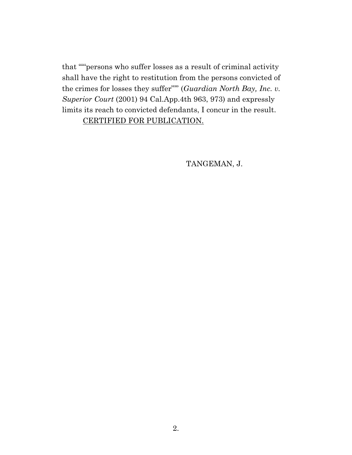that "'"persons who suffer losses as a result of criminal activity shall have the right to restitution from the persons convicted of the crimes for losses they suffer"'" (*Guardian North Bay, Inc. v. Superior Court* (2001) 94 Cal.App.4th 963, 973) and expressly limits its reach to convicted defendants, I concur in the result. CERTIFIED FOR PUBLICATION.

TANGEMAN, J.